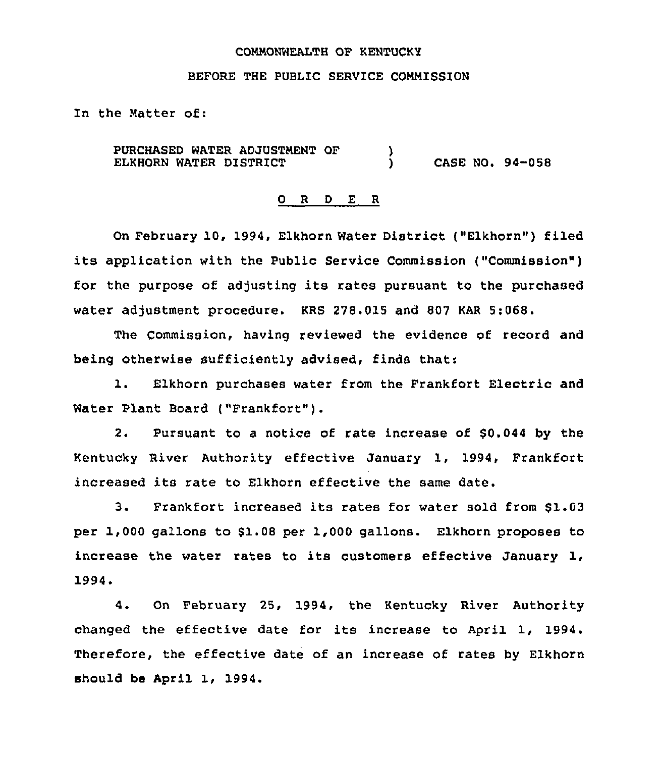## CONNONWEALTH OF KENTUCKY

# BEFORE THE PUBLIC SERVICE COMMISSION

In the Hatter of:

PURCHASED WATER ADJUSTMENT OF  $\qquad$  )<br>ELKHORN WATER DISTRICT ELKHORN WATER DISTRICT  $\overrightarrow{)}$  CASE NO. 94-058

# 0 R <sup>D</sup> E R

On February 10, 1994, Elkhorn Water District ("Elkhorn") filed its application with the Public Service Commission ("Commission" ) for the purpose of adjusting its rates pursuant to the purchased water adjustment procedure. KRS 278.015 and 807 KAR 5:068.

The Commission, having reviewed the evidence of record and being otherwise sufficiently advised, finds that:

1. Elkhorn purchases water from the Frankfort Electric and Water Plant Board ("Frankfort").

2. Pursuant to a notice of rate increase of \$0.044 by the Kentucky River Authority effective January 1, 1994, Frankfort increased its rate to Elkhorn effective the same date.

3. Frankfort increased its rates for water sold from \$1.03 per 1,000 gallons to \$1.08 per 1,000 gallons. Elkhorn proposes to increase the water rates to its customers effective January 1, 1994.

4. On February 25, 1994, the Kentucky River Authority changed the effective date for its increase to April 1, 1994. Therefore, the effective date of an increase of rates by Elkhorn should be April 1, 1994.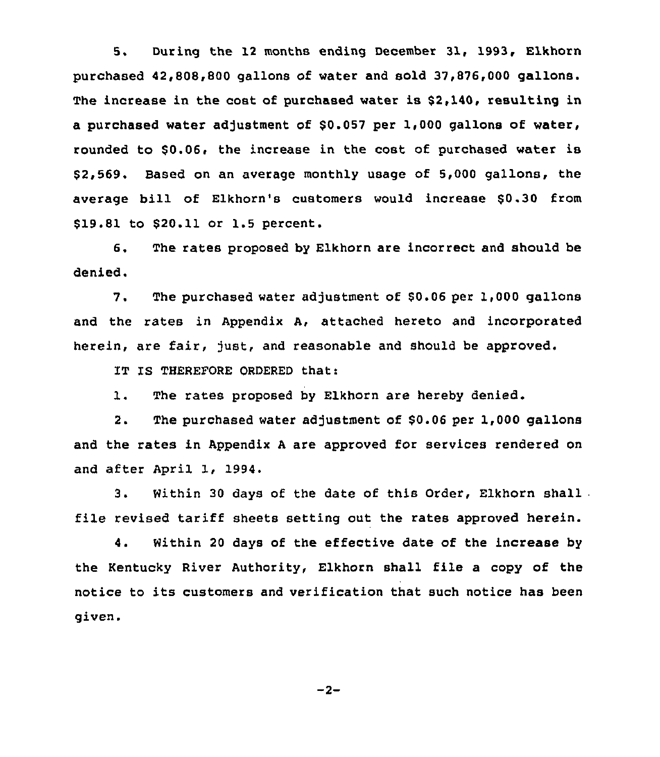5. During the 12 months ending December 31, 1993, Elkhorn purchased 42,808,800 gallons of water and sold 37,876,000 gallons. The increase in the cost of purchased water is \$2,140, resulting in a purchased water adjustment of \$0.057 per 1,000 gallons of water, rounded to \$0.06, the increase in the cost of purchased water is \$ 2,569. Based on an average monthly usage of 5,000 gallons, the average bill of Elkhorn's customers would increase \$0.30 from \$19.81 to \$20.11 or 1.5 percent.

6. The rates proposed by Elkhorn are incorrect and should be denied.

The purchased water adjustment of \$0.06 per 1,000 gallons 7. and the rates in Appendix A, attached hereto and incorporated herein, are fair, fust, and reasonable and should be approved.

IT IS THEREFORE ORDERED that:

1. The rates proposed by Elkhorn are hereby denied.

2. The purchased water adjustment of \$0.06 per 1,000 gallons and the rates in Appendix <sup>A</sup> are approved for services rendered on and after April 1, 1994.

3. Within <sup>30</sup> days of the date of this Order, Elkhorn shall file revised tariff sheets setting out the rates approved herein.

4. Within 20 days of the effective date of the increase by the Kentucky River Authority, Elkhorn shall file a copy of the notice to its customers and verification that such notice has been given.

 $-2-$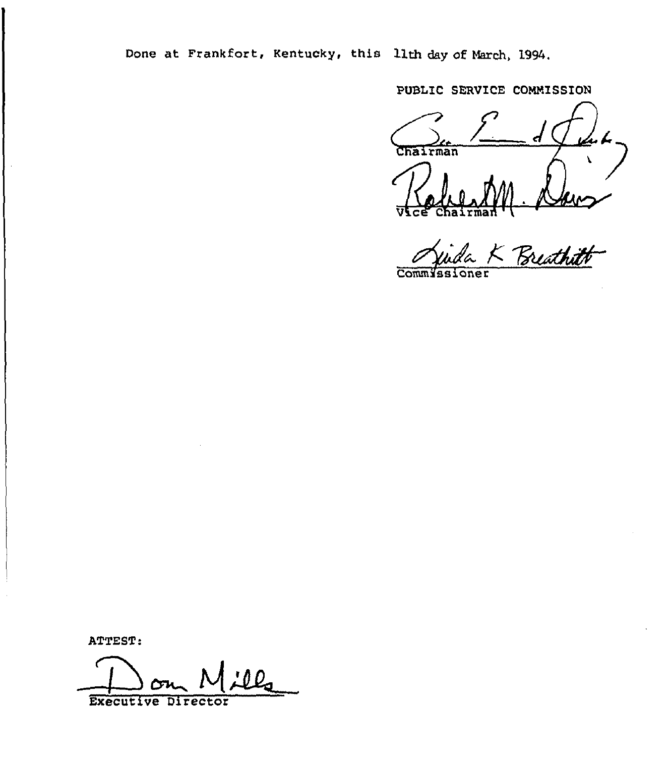Done at Frankfort, Kentucky, this llth day of March, 1994.

PUBLIC SERVICE COMMISSION

hairman inda K Breathitt

 $\overline{\text{Comm}}$ 

ATTEST:

Executive Director